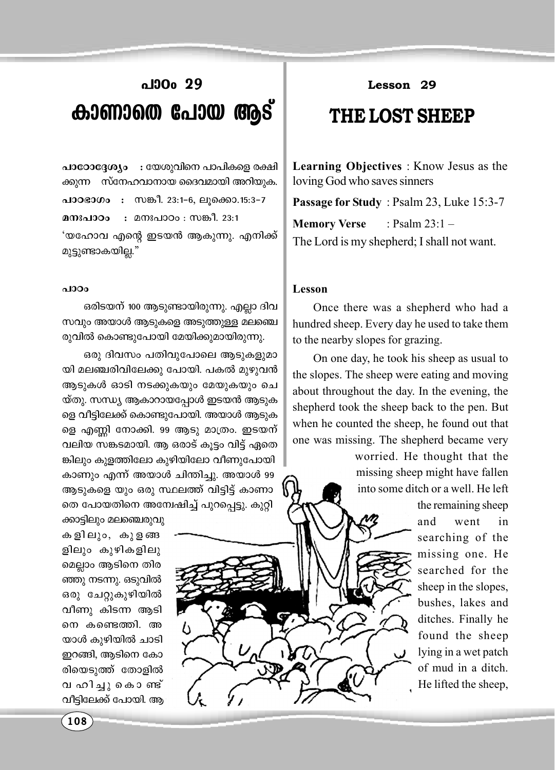## പാ0<sub>0</sub> 29 കാണാതെ പോയ ആട്

പാഠോദ്ദേശ്യം : യേശുവിനെ പാപികളെ രക്ഷി ക്കുന്ന സ്നേഹവാനായ ദൈവമായി അറിയുക. പാഠഭാഗം : സങ്കീ. 23:1-6, ലൂക്കൊ.15:3-7 : മനഃപാഠം : സങ്കീ. 23:1 മനഃപാഠം 'യഹോവ എന്റെ ഇടയൻ ആകുന്നു. എനിക്ക് മുട്ടുണ്ടാകയില്ല."

## $\triangle$  100 $\Omega$

ഒരിടയന് 100 ആടുണ്ടായിരുന്നു. എല്ലാ ദിവ സവും അയാൾ ആടുകളെ അടുത്തുള്ള മലഞ്ചെ രുവിൽ കൊണ്ടുപോയി മേയിക്കുമായിരുന്നു.

ഒരു ദിവസം പതിവുപോലെ ആടുകളുമാ യി മലഞ്ചരിവിലേക്കു പോയി. പകൽ മുഴുവൻ ആടുകൾ ഓടി നടക്കുകയും മേയുകയും ചെ യ്തു. സന്ധ്യ ആകാറായപ്പോൾ ഇടയൻ ആടുക ളെ വീട്ടിലേക്ക് കൊണ്ടുപോയി. അയാൾ ആടുക ളെ എണ്ണി നോക്കി. 99 ആടു മാത്രം. ഇടയന് വലിയ സങ്കടമായി. ആ ഒരാട് കൂട്ടം വിട്ട് ഏതെ ങ്കിലും കുളത്തിലോ കുഴിയിലോ വീണുപോയി കാണും എന്ന് അയാൾ ചിന്തിച്ചു. അയാൾ 99 ആടുകളെ യും ഒരു സ്ഥലത്ത് വിട്ടിട്ട് കാണാ തെ പോയതിനെ അന്വേഷിച്ച് പുറപ്പെട്ടു. കുറ്റി

ക്കാട്ടിലും മലഞ്ചെരുവു കളിലും, കുളങ്ങ ളിലും കുഴികളിലു മെല്ലാം ആടിനെ തിര ഞ്ഞു നടന്നു. ഒടുവിൽ ഒരു ചേറ്റുകുഴിയിൽ വീണു കിടന്ന ആടി നെ കണ്ടെത്തി. അ യാൾ കുഴിയിൽ ചാടി ഇറങ്ങി, ആടിനെ കോ രിയെടുത്ത് തോളിൽ വ ഹിച്ചു കൊണ്ട് വീട്ടിലേക്ക് പോയി. ആ

Lesson 29

## THE LOST SHEEP

Learning Objectives : Know Jesus as the loving God who saves sinners

Passage for Study: Psalm 23, Luke 15:3-7 **Memory Verse** : Psalm  $23:1-$ The Lord is my shepherd; I shall not want.

## Lesson

Once there was a shepherd who had a hundred sheep. Every day he used to take them to the nearby slopes for grazing.

On one day, he took his sheep as usual to the slopes. The sheep were eating and moving about throughout the day. In the evening, the shepherd took the sheep back to the pen. But when he counted the sheep, he found out that one was missing. The shepherd became very

> worried. He thought that the missing sheep might have fallen into some ditch or a well. He left the remaining sheep went and in searching of the missing one. He searched for the sheep in the slopes, bushes, lakes and ditches. Finally he found the sheep lying in a wet patch of mud in a ditch. He lifted the sheep,